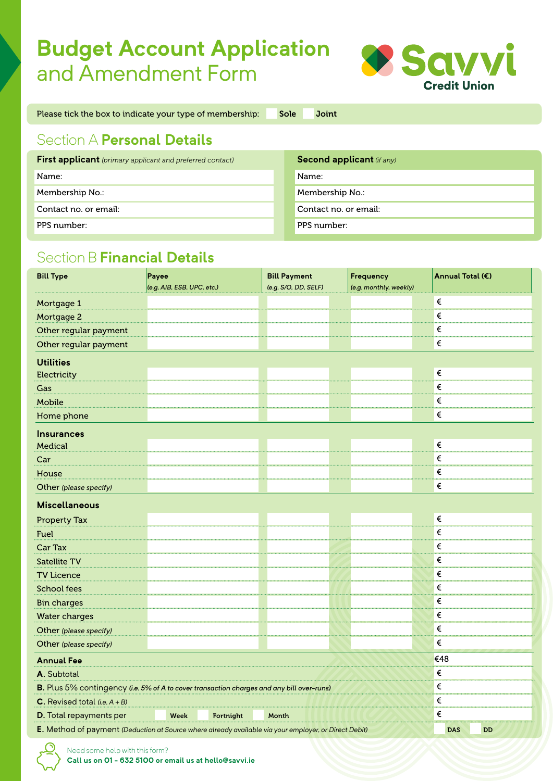## **Budget Account Application** and Amendment Form



Please tick the box to indicate your type of membership: Sole Joint

## Section A **Personal Details**

| <b>First applicant</b> (primary applicant and preferred contact) | <b>Second applicant (if any)</b> |
|------------------------------------------------------------------|----------------------------------|
| Name:                                                            | Name:                            |
| Membership No.:                                                  | Membership No.:                  |
| Contact no. or email:                                            | Contact no. or email:            |
| PPS number:                                                      | PPS number:                      |

## Section B **Financial Details**

| <b>Bill Type</b>                                                                                      | Payee                      |  | <b>Bill Payment</b>  |  | Frequency              |            | Annual Total (€) |           |
|-------------------------------------------------------------------------------------------------------|----------------------------|--|----------------------|--|------------------------|------------|------------------|-----------|
|                                                                                                       | (e.g. AIB, ESB, UPC, etc.) |  | (e.g. S/O, DD, SELF) |  | (e.g. monthly, weekly) |            |                  |           |
| Mortgage 1                                                                                            |                            |  |                      |  |                        | €          |                  |           |
| Mortgage 2                                                                                            |                            |  |                      |  |                        | €          |                  |           |
| Other regular payment                                                                                 |                            |  |                      |  |                        |            | €                |           |
| Other regular payment                                                                                 |                            |  |                      |  |                        |            | €                |           |
| <b>Utilities</b>                                                                                      |                            |  |                      |  |                        |            |                  |           |
| Electricity                                                                                           |                            |  |                      |  |                        | €          |                  |           |
| Gas                                                                                                   |                            |  |                      |  |                        | €          |                  |           |
| Mobile                                                                                                |                            |  |                      |  |                        |            | €                |           |
| Home phone                                                                                            |                            |  |                      |  |                        |            | €                |           |
| <b>Insurances</b>                                                                                     |                            |  |                      |  |                        |            |                  |           |
| Medical                                                                                               |                            |  |                      |  |                        | €          |                  |           |
| Car                                                                                                   |                            |  |                      |  |                        | €          |                  |           |
| House                                                                                                 |                            |  |                      |  |                        | €          |                  |           |
| Other (please specify)                                                                                |                            |  |                      |  |                        |            | €                |           |
| <b>Miscellaneous</b>                                                                                  |                            |  |                      |  |                        |            |                  |           |
| <b>Property Tax</b>                                                                                   |                            |  |                      |  |                        | $\epsilon$ |                  |           |
| Fuel                                                                                                  |                            |  |                      |  |                        |            | €                |           |
| Car Tax                                                                                               |                            |  |                      |  |                        |            | €                |           |
| <b>Satellite TV</b>                                                                                   |                            |  |                      |  |                        |            | €                |           |
| <b>TV Licence</b>                                                                                     |                            |  |                      |  |                        |            | €                |           |
| <b>School fees</b>                                                                                    |                            |  |                      |  |                        |            | €                |           |
| <b>Bin charges</b>                                                                                    |                            |  |                      |  |                        |            | €                |           |
| <b>Water charges</b>                                                                                  |                            |  |                      |  |                        |            | $\epsilon$       |           |
| Other (please specify)                                                                                |                            |  |                      |  |                        |            | €                |           |
| Other (please specify)                                                                                |                            |  |                      |  |                        | €          |                  |           |
| <b>Annual Fee</b>                                                                                     |                            |  |                      |  |                        |            | €48              |           |
| A. Subtotal                                                                                           |                            |  |                      |  |                        | €          |                  |           |
| B. Plus 5% contingency (i.e. 5% of A to cover transaction charges and any bill over-runs)             |                            |  |                      |  |                        | €          |                  |           |
| <b>C.</b> Revised total $(i.e. A + B)$                                                                |                            |  |                      |  |                        | €          |                  |           |
| D. Total repayments per<br>Week<br>Fortnight<br>Month                                                 |                            |  |                      |  |                        | €          |                  |           |
| E. Method of payment (Deduction at Source where already available via your employer, or Direct Debit) |                            |  |                      |  |                        |            | <b>DAS</b>       | <b>DD</b> |

Need some help with this form?

**Call us on 01 - 632 5100 or email us at hello@savvi.ie**